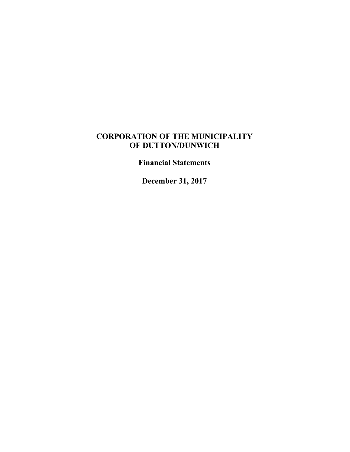### **CORPORATION OF THE MUNICIPALITY OF DUTTON/DUNWICH**

**Financial Statements**

**December 31, 2017**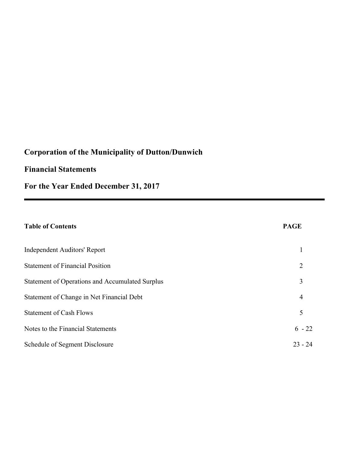### **Financial Statements**

**For the Year Ended December 31, 2017**

### **Table of Contents**

| Independent Auditors' Report                    |           |
|-------------------------------------------------|-----------|
| <b>Statement of Financial Position</b>          | 2         |
| Statement of Operations and Accumulated Surplus | 3         |
| Statement of Change in Net Financial Debt       | 4         |
| <b>Statement of Cash Flows</b>                  | 5         |
| Notes to the Financial Statements               | $6 - 22$  |
| Schedule of Segment Disclosure                  | $23 - 24$ |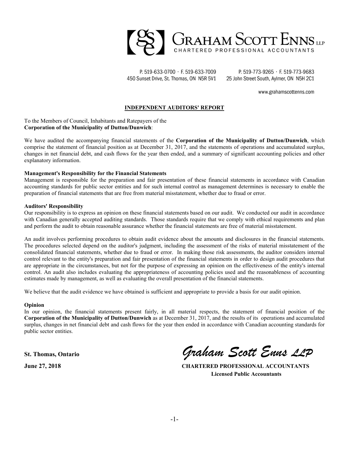

P. 519-633-0700 · F. 519-633-7009 450 Sunset Drive, St. Thomas, ON N5R 5V1

P. 519-773-9265 · F. 519-773-9683 25 John Street South, Aylmer, ON N5H 2C1

www.grahamscottenns.com

#### **INDEPENDENT AUDITORS' REPORT**

To the Members of Council, Inhabitants and Ratepayers of the **Corporation of the Municipality of Dutton/Dunwich**:

We have audited the accompanying financial statements of the **Corporation of the Municipality of Dutton/Dunwich**, which comprise the statement of financial position as at December 31, 2017, and the statements of operations and accumulated surplus, changes in net financial debt, and cash flows for the year then ended, and a summary of significant accounting policies and other explanatory information.

#### **Management's Responsibility for the Financial Statements**

Management is responsible for the preparation and fair presentation of these financial statements in accordance with Canadian accounting standards for public sector entities and for such internal control as management determines is necessary to enable the preparation of financial statements that are free from material misstatement, whether due to fraud or error.

#### **Auditors' Responsibility**

Our responsibility is to express an opinion on these financial statements based on our audit. We conducted our audit in accordance with Canadian generally accepted auditing standards. Those standards require that we comply with ethical requirements and plan and perform the audit to obtain reasonable assurance whether the financial statements are free of material misstatement.

An audit involves performing procedures to obtain audit evidence about the amounts and disclosures in the financial statements. The procedures selected depend on the auditor's judgment, including the assessment of the risks of material misstatement of the consolidated financial statements, whether due to fraud or error. In making those risk assessments, the auditor considers internal control relevant to the entity's preparation and fair presentation of the financial statements in order to design audit procedures that are appropriate in the circumstances, but not for the purpose of expressing an opinion on the effectiveness of the entity's internal control. An audit also includes evaluating the appropriateness of accounting policies used and the reasonableness of accounting estimates made by management, as well as evaluating the overall presentation of the financial statements.

We believe that the audit evidence we have obtained is sufficient and appropriate to provide a basis for our audit opinion.

#### **Opinion**

In our opinion, the financial statements present fairly, in all material respects, the statement of financial position of the **Corporation of the Municipality of Dutton/Dunwich** as at December 31, 2017, and the results of its operations and accumulated surplus, changes in net financial debt and cash flows for the year then ended in accordance with Canadian accounting standards for public sector entities.

**St. Thomas, Ontario** *Graham Scott Enns LLP*

**June 27, 2018 CHARTERED PROFESSIONAL ACCOUNTANTS Licensed Public Accountants**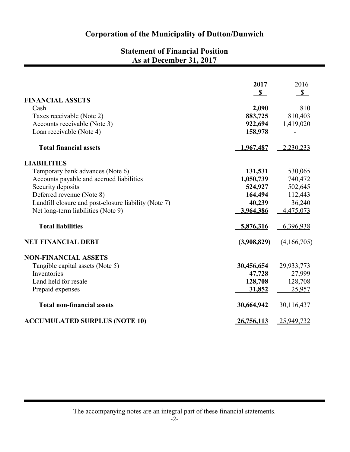### **Statement of Financial Position As at December 31, 2017**

|                                                      | 2017         | 2016         |
|------------------------------------------------------|--------------|--------------|
| <b>FINANCIAL ASSETS</b>                              | $\mathbf{s}$ | $\mathbb{S}$ |
| Cash                                                 | 2,090        | 810          |
| Taxes receivable (Note 2)                            | 883,725      | 810,403      |
| Accounts receivable (Note 3)                         | 922,694      | 1,419,020    |
| Loan receivable (Note 4)                             | 158,978      |              |
| <b>Total financial assets</b>                        | 1,967,487    | $-2,230,233$ |
| <b>LIABILITIES</b>                                   |              |              |
| Temporary bank advances (Note 6)                     | 131,531      | 530,065      |
| Accounts payable and accrued liabilities             | 1,050,739    | 740,472      |
| Security deposits                                    | 524,927      | 502,645      |
| Deferred revenue (Note 8)                            | 164,494      | 112,443      |
| Landfill closure and post-closure liability (Note 7) | 40,239       | 36,240       |
| Net long-term liabilities (Note 9)                   | 3,964,386    | 4,475,073    |
| <b>Total liabilities</b>                             | 5,876,316    | 6,396,938    |
| <b>NET FINANCIAL DEBT</b>                            | (3,908,829)  | (4,166,705)  |
| <b>NON-FINANCIAL ASSETS</b>                          |              |              |
| Tangible capital assets (Note 5)                     | 30,456,654   | 29,933,773   |
| Inventories                                          | 47,728       | 27,999       |
| Land held for resale                                 | 128,708      | 128,708      |
| Prepaid expenses                                     | 31,852       | 25,957       |
| <b>Total non-financial assets</b>                    | 30,664,942   | 30,116,437   |
| <b>ACCUMULATED SURPLUS (NOTE 10)</b>                 | 26,756,113   | 25,949,732   |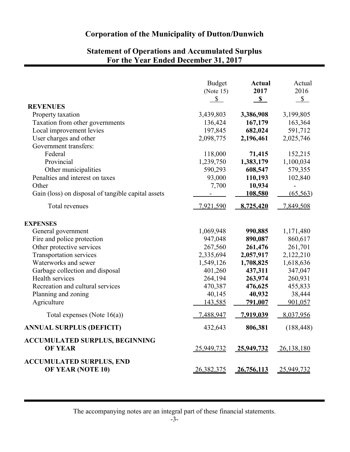### **Statement of Operations and Accumulated Surplus For the Year Ended December 31, 2017**

|                                                    | <b>Budget</b> | <b>Actual</b>     | Actual        |
|----------------------------------------------------|---------------|-------------------|---------------|
|                                                    | (Note $15$ )  | 2017              | 2016          |
|                                                    | $\mathbb{S}$  | $\mathbf{s}$      | $\mathcal{S}$ |
| <b>REVENUES</b>                                    |               |                   |               |
| Property taxation                                  | 3,439,803     | 3,386,908         | 3,199,805     |
| Taxation from other governments                    | 136,424       | 167,179           | 163,364       |
| Local improvement levies                           | 197,845       | 682,024           | 591,712       |
| User charges and other                             | 2,098,775     | 2,196,461         | 2,025,746     |
| Government transfers:                              |               |                   |               |
| Federal                                            | 118,000       | 71,415            | 152,215       |
| Provincial                                         | 1,239,750     | 1,383,179         | 1,100,034     |
| Other municipalities                               | 590,293       | 608,547           | 579,355       |
| Penalties and interest on taxes                    | 93,000        | 110,193           | 102,840       |
| Other                                              | 7,700         | 10,934            |               |
| Gain (loss) on disposal of tangible capital assets |               | 108,580           | (65, 563)     |
| Total revenues                                     | 7,921,590     | 8,725,420         | 7,849,508     |
| <b>EXPENSES</b>                                    |               |                   |               |
| General government                                 | 1,069,948     | 990,885           | 1,171,480     |
| Fire and police protection                         | 947,048       | 890,087           | 860,617       |
| Other protective services                          | 267,560       | 261,476           | 261,701       |
| <b>Transportation services</b>                     | 2,335,694     | 2,057,917         | 2,122,210     |
| Waterworks and sewer                               | 1,549,126     | 1,708,825         | 1,618,636     |
| Garbage collection and disposal                    | 401,260       | 437,311           | 347,047       |
| Health services                                    | 264,194       | 263,974           | 260,931       |
| Recreation and cultural services                   | 470,387       | 476,625           | 455,833       |
| Planning and zoning                                | 40,145        | 40,932            | 38,444        |
| Agriculture                                        | 143,585       | 791,007           | 901,057       |
| Total expenses (Note $16(a)$ )                     | 7,488,947     | 7,919,039         | 8,037,956     |
| <b>ANNUAL SURPLUS (DEFICIT)</b>                    | 432,643       | 806,381           | (188, 448)    |
| <b>ACCUMULATED SURPLUS, BEGINNING</b>              |               |                   |               |
| <b>OF YEAR</b>                                     | 25,949,732    | <u>25,949,732</u> | 26,138,180    |
| <b>ACCUMULATED SURPLUS, END</b>                    |               |                   |               |
| <b>OF YEAR (NOTE 10)</b>                           | 26,382,375    | 26,756,113        | 25,949,732    |

The accompanying notes are an integral part of these financial statements.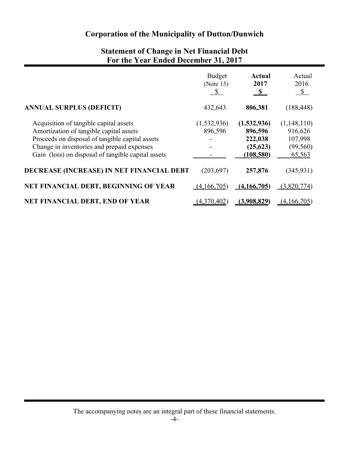| For the Year Ended December 31, 2017                                                                                                                                                                                                     |                                            |                                                              |                                                          |
|------------------------------------------------------------------------------------------------------------------------------------------------------------------------------------------------------------------------------------------|--------------------------------------------|--------------------------------------------------------------|----------------------------------------------------------|
|                                                                                                                                                                                                                                          | <b>Budget</b><br>(Note 15)<br>$\mathbb{S}$ | <b>Actual</b><br>2017<br>$\mathbf{s}$                        | Actual<br>2016<br>$\sqrt{2}$                             |
| <b>ANNUAL SURPLUS (DEFICIT)</b>                                                                                                                                                                                                          | 432,643                                    | 806,381                                                      | (188, 448)                                               |
| Acquisition of tangible capital assets<br>Amortization of tangible capital assets<br>Proceeds on disposal of tangible capital assets<br>Change in inventories and prepaid expenses<br>Gain (loss) on disposal of tangible capital assets | (1,532,936)<br>896,596                     | (1,532,936)<br>896,596<br>222,038<br>(25, 623)<br>(108, 580) | (1,148,110)<br>916,626<br>107,998<br>(99, 560)<br>65,563 |
| DECREASE (INCREASE) IN NET FINANCIAL DEBT                                                                                                                                                                                                | (203, 697)                                 | 257,876                                                      | (345, 931)                                               |
| NET FINANCIAL DEBT, BEGINNING OF YEAR                                                                                                                                                                                                    | (4,166,705)                                | (4,166,705)                                                  | (3,820,774)                                              |
| NET FINANCIAL DEBT, END OF YEAR                                                                                                                                                                                                          | (4,370,402)                                | (3,908,829)                                                  | (4,166,705)                                              |

# **Statement of Change in Net Financial Debt**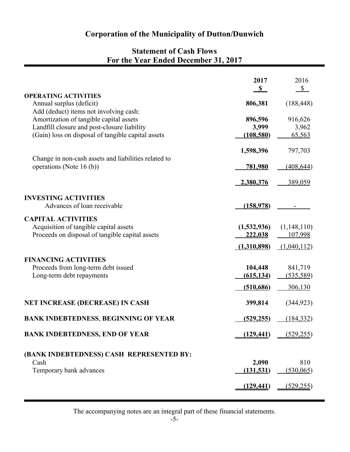### **Statement of Cash Flows For the Year Ended December 31, 2017**

|                                                                                                   | 2017           | 2016                      |
|---------------------------------------------------------------------------------------------------|----------------|---------------------------|
|                                                                                                   | $\mathbb{S}$   | $\mathbf{\underline{\$}}$ |
| <b>OPERATING ACTIVITIES</b><br>Annual surplus (deficit)<br>Add (deduct) items not involving cash: | 806,381        | (188, 448)                |
| Amortization of tangible capital assets                                                           | 896,596        | 916,626                   |
| Landfill closure and post-closure liability                                                       | 3,999          | 3,962                     |
| (Gain) loss on disposal of tangible capital assets                                                |                |                           |
|                                                                                                   | (108, 580)     | 65,563                    |
|                                                                                                   | 1,598,396      | 797,703                   |
| Change in non-cash assets and liabilities related to<br>operations (Note 16 (b))                  | <u>781,980</u> | (408, 644)                |
|                                                                                                   | 2,380,376      | 389,059                   |
| <b>INVESTING ACTIVITIES</b><br>Advances of loan receivable                                        | (158,978)      |                           |
| <b>CAPITAL ACTIVITIES</b>                                                                         |                |                           |
| Acquisition of tangible capital assets                                                            | (1,532,936)    | (1,148,110)               |
| Proceeds on disposal of tangible capital assets                                                   | 222,038        | 107,998                   |
|                                                                                                   | (1,310,898)    | (1,040,112)               |
| <b>FINANCING ACTIVITIES</b>                                                                       |                |                           |
| Proceeds from long-term debt issued                                                               | 104,448        | 841,719                   |
| Long-term debt repayments                                                                         |                |                           |
|                                                                                                   | (615, 134)     | (535, 589)                |
|                                                                                                   | (510, 686)     | 306,130                   |
| <b>NET INCREASE (DECREASE) IN CASH</b>                                                            | 399,814        | (344, 923)                |
| <b>BANK INDEBTEDNESS, BEGINNING OF YEAR</b>                                                       | (529, 255)     | (184, 332)                |
| <b>BANK INDEBTEDNESS, END OF YEAR</b>                                                             | (129, 441)     | (529, 255)                |
| (BANK INDEBTEDNESS) CASH REPRESENTED BY:                                                          |                |                           |
| Cash                                                                                              | 2,090          | 810                       |
| Temporary bank advances                                                                           | (131, 531)     | (530,065)                 |
|                                                                                                   |                |                           |
|                                                                                                   | (129, 441)     | (529, 255)                |

The accompanying notes are an integral part of these financial statements.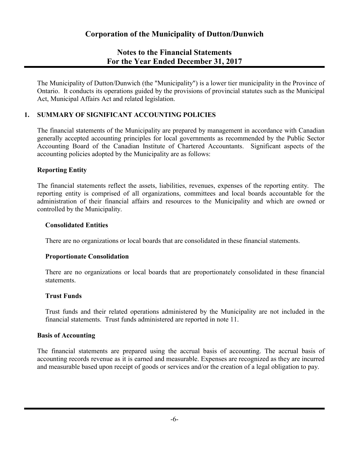The Municipality of Dutton/Dunwich (the "Municipality") is a lower tier municipality in the Province of Ontario. It conducts its operations guided by the provisions of provincial statutes such as the Municipal Act, Municipal Affairs Act and related legislation.

### **1. SUMMARY OF SIGNIFICANT ACCOUNTING POLICIES**

The financial statements of the Municipality are prepared by management in accordance with Canadian generally accepted accounting principles for local governments as recommended by the Public Sector Accounting Board of the Canadian Institute of Chartered Accountants. Significant aspects of the accounting policies adopted by the Municipality are as follows:

### **Reporting Entity**

The financial statements reflect the assets, liabilities, revenues, expenses of the reporting entity. The reporting entity is comprised of all organizations, committees and local boards accountable for the administration of their financial affairs and resources to the Municipality and which are owned or controlled by the Municipality.

#### **Consolidated Entities**

There are no organizations or local boards that are consolidated in these financial statements.

### **Proportionate Consolidation**

There are no organizations or local boards that are proportionately consolidated in these financial statements.

### **Trust Funds**

Trust funds and their related operations administered by the Municipality are not included in the financial statements. Trust funds administered are reported in note 11.

#### **Basis of Accounting**

The financial statements are prepared using the accrual basis of accounting. The accrual basis of accounting records revenue as it is earned and measurable. Expenses are recognized as they are incurred and measurable based upon receipt of goods or services and/or the creation of a legal obligation to pay.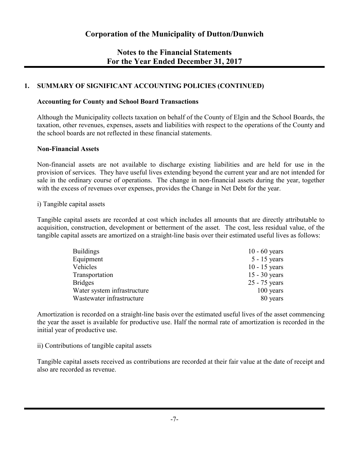### **1. SUMMARY OF SIGNIFICANT ACCOUNTING POLICIES (CONTINUED)**

#### **Accounting for County and School Board Transactions**

Although the Municipality collects taxation on behalf of the County of Elgin and the School Boards, the taxation, other revenues, expenses, assets and liabilities with respect to the operations of the County and the school boards are not reflected in these financial statements.

#### **Non-Financial Assets**

Non-financial assets are not available to discharge existing liabilities and are held for use in the provision of services. They have useful lives extending beyond the current year and are not intended for sale in the ordinary course of operations. The change in non-financial assets during the year, together with the excess of revenues over expenses, provides the Change in Net Debt for the year.

#### i) Tangible capital assets

Tangible capital assets are recorded at cost which includes all amounts that are directly attributable to acquisition, construction, development or betterment of the asset. The cost, less residual value, of the tangible capital assets are amortized on a straight-line basis over their estimated useful lives as follows:

| <b>Buildings</b>            | $10 - 60$ years |
|-----------------------------|-----------------|
| Equipment                   | $5 - 15$ years  |
| Vehicles                    | $10 - 15$ years |
| Transportation              | $15 - 30$ years |
| <b>Bridges</b>              | 25 - 75 years   |
| Water system infrastructure | 100 years       |
| Wastewater infrastructure   | 80 years        |

Amortization is recorded on a straight-line basis over the estimated useful lives of the asset commencing the year the asset is available for productive use. Half the normal rate of amortization is recorded in the initial year of productive use.

#### ii) Contributions of tangible capital assets

Tangible capital assets received as contributions are recorded at their fair value at the date of receipt and also are recorded as revenue.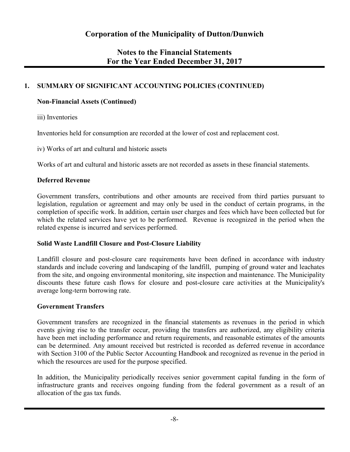### **1. SUMMARY OF SIGNIFICANT ACCOUNTING POLICIES (CONTINUED)**

### **Non-Financial Assets (Continued)**

iii) Inventories

Inventories held for consumption are recorded at the lower of cost and replacement cost.

iv) Works of art and cultural and historic assets

Works of art and cultural and historic assets are not recorded as assets in these financial statements.

### **Deferred Revenue**

Government transfers, contributions and other amounts are received from third parties pursuant to legislation, regulation or agreement and may only be used in the conduct of certain programs, in the completion of specific work. In addition, certain user charges and fees which have been collected but for which the related services have yet to be performed. Revenue is recognized in the period when the related expense is incurred and services performed.

### **Solid Waste Landfill Closure and Post-Closure Liability**

Landfill closure and post-closure care requirements have been defined in accordance with industry standards and include covering and landscaping of the landfill, pumping of ground water and leachates from the site, and ongoing environmental monitoring, site inspection and maintenance. The Municipality discounts these future cash flows for closure and post-closure care activities at the Municipality's average long-term borrowing rate.

### **Government Transfers**

Government transfers are recognized in the financial statements as revenues in the period in which events giving rise to the transfer occur, providing the transfers are authorized, any eligibility criteria have been met including performance and return requirements, and reasonable estimates of the amounts can be determined. Any amount received but restricted is recorded as deferred revenue in accordance with Section 3100 of the Public Sector Accounting Handbook and recognized as revenue in the period in which the resources are used for the purpose specified.

In addition, the Municipality periodically receives senior government capital funding in the form of infrastructure grants and receives ongoing funding from the federal government as a result of an allocation of the gas tax funds.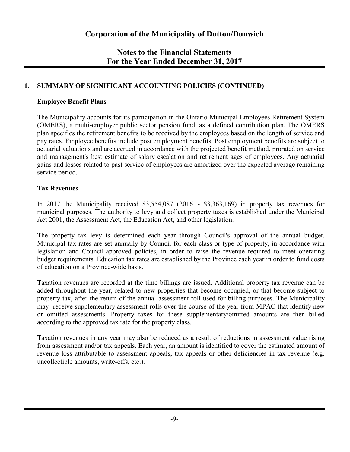### **1. SUMMARY OF SIGNIFICANT ACCOUNTING POLICIES (CONTINUED)**

#### **Employee Benefit Plans**

The Municipality accounts for its participation in the Ontario Municipal Employees Retirement System (OMERS), a multi-employer public sector pension fund, as a defined contribution plan. The OMERS plan specifies the retirement benefits to be received by the employees based on the length of service and pay rates. Employee benefits include post employment benefits. Post employment benefits are subject to actuarial valuations and are accrued in accordance with the projected benefit method, prorated on service and management's best estimate of salary escalation and retirement ages of employees. Any actuarial gains and losses related to past service of employees are amortized over the expected average remaining service period.

### **Tax Revenues**

In 2017 the Municipality received \$3,554,087 (2016 - \$3,363,169) in property tax revenues for municipal purposes. The authority to levy and collect property taxes is established under the Municipal Act 2001, the Assessment Act, the Education Act, and other legislation.

The property tax levy is determined each year through Council's approval of the annual budget. Municipal tax rates are set annually by Council for each class or type of property, in accordance with legislation and Council-approved policies, in order to raise the revenue required to meet operating budget requirements. Education tax rates are established by the Province each year in order to fund costs of education on a Province-wide basis.

Taxation revenues are recorded at the time billings are issued. Additional property tax revenue can be added throughout the year, related to new properties that become occupied, or that become subject to property tax, after the return of the annual assessment roll used for billing purposes. The Municipality may receive supplementary assessment rolls over the course of the year from MPAC that identify new or omitted assessments. Property taxes for these supplementary/omitted amounts are then billed according to the approved tax rate for the property class.

Taxation revenues in any year may also be reduced as a result of reductions in assessment value rising from assessment and/or tax appeals. Each year, an amount is identified to cover the estimated amount of revenue loss attributable to assessment appeals, tax appeals or other deficiencies in tax revenue (e.g. uncollectible amounts, write-offs, etc.).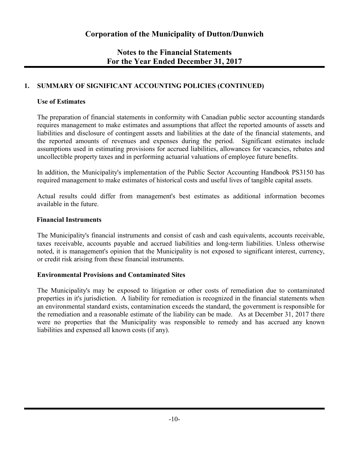### **1. SUMMARY OF SIGNIFICANT ACCOUNTING POLICIES (CONTINUED)**

### **Use of Estimates**

The preparation of financial statements in conformity with Canadian public sector accounting standards requires management to make estimates and assumptions that affect the reported amounts of assets and liabilities and disclosure of contingent assets and liabilities at the date of the financial statements, and the reported amounts of revenues and expenses during the period. Significant estimates include assumptions used in estimating provisions for accrued liabilities, allowances for vacancies, rebates and uncollectible property taxes and in performing actuarial valuations of employee future benefits.

In addition, the Municipality's implementation of the Public Sector Accounting Handbook PS3150 has required management to make estimates of historical costs and useful lives of tangible capital assets.

Actual results could differ from management's best estimates as additional information becomes available in the future.

### **Financial Instruments**

The Municipality's financial instruments and consist of cash and cash equivalents, accounts receivable, taxes receivable, accounts payable and accrued liabilities and long-term liabilities. Unless otherwise noted, it is management's opinion that the Municipality is not exposed to significant interest, currency, or credit risk arising from these financial instruments.

### **Environmental Provisions and Contaminated Sites**

The Municipality's may be exposed to litigation or other costs of remediation due to contaminated properties in it's jurisdiction. A liability for remediation is recognized in the financial statements when an environmental standard exists, contamination exceeds the standard, the government is responsible for the remediation and a reasonable estimate of the liability can be made. As at December 31, 2017 there were no properties that the Municipality was responsible to remedy and has accrued any known liabilities and expensed all known costs (if any).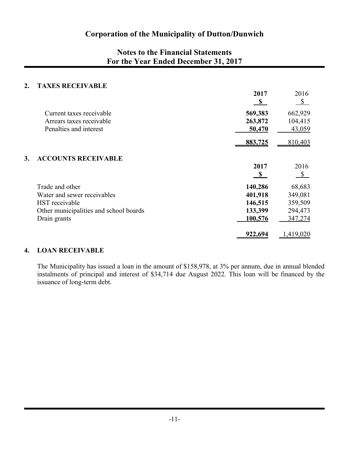### **Notes to the Financial Statements For the Year Ended December 31, 2017**

#### **2. TAXES RECEIVABLE**

|    |                                        | 2017<br>$\mathbb{S}$ | 2016<br>$\mathbb{S}$      |
|----|----------------------------------------|----------------------|---------------------------|
|    | Current taxes receivable               | 569,383              | 662,929                   |
|    | Arrears taxes receivable               | 263,872              | 104,415                   |
|    | Penalties and interest                 | 50,470               | 43,059                    |
|    |                                        | 883,725              | 810,403                   |
| 3. | <b>ACCOUNTS RECEIVABLE</b>             |                      |                           |
|    |                                        | 2017                 | 2016                      |
|    |                                        | $\mathbf{s}$         | $\boldsymbol{\mathsf{S}}$ |
|    | Trade and other                        | 140,286              | 68,683                    |
|    | Water and sewer receivables            | 401,918              | 349,081                   |
|    | HST receivable                         | 146,515              | 359,509                   |
|    | Other municipalities and school boards | 133,399              | 294,473                   |
|    | Drain grants                           | 100,576              | 347,274                   |
|    |                                        | 922,694              | 1,419,020                 |

#### **4. LOAN RECEIVABLE**

The Municipality has issued a loan in the amount of \$158,978, at 3% per annum, due in annual blended instalments of principal and interest of \$34,714 due August 2022. This loan will be financed by the issuance of long-term debt.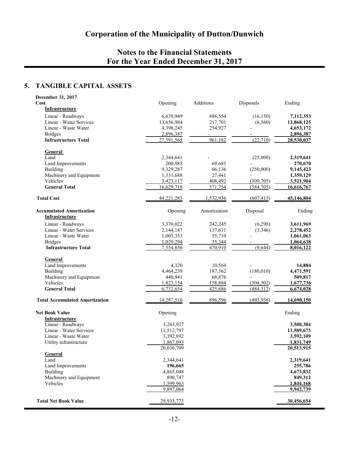### **5. TANGIBLE CAPITAL ASSETS**

| December 31, 2017                                        |                      |                          |            |                      |
|----------------------------------------------------------|----------------------|--------------------------|------------|----------------------|
| Cost<br><b>Infrastructure</b>                            | Opening              | Additions                | Disposals  | Ending               |
| Linear - Roadways                                        | 6,639,949            | 488,554                  | (16, 150)  | 7,112,353            |
| Linear - Water Services                                  | 13,656,984           | 217,701                  | (6,560)    | 13,868,125           |
| Linear - Waste Water                                     | 4,398,245            | 254,927                  |            | 4,653,172            |
| <b>Bridges</b>                                           | 2,896,387            | $\overline{\phantom{a}}$ |            | 2,896,387            |
| <b>Infrastructure Total</b>                              | 27,591,565           | 961,182                  | (22, 710)  | 28,530,037           |
| General                                                  |                      |                          |            |                      |
| Land                                                     | 2,344,641            |                          | (25,000)   | 2,319,641            |
| Land Improvements                                        | 200,985              | 69,685                   |            | 270,670              |
| Building                                                 | 9,329,287            | 66,136                   | (250,000)  | 9,145,423            |
| Machinery and Equipment                                  | 1,331,688            | 27,441                   |            | 1,359,129            |
| Vehicles                                                 | 3,423,117            | 408,492                  | (309, 705) | 3,521,904            |
| <b>General Total</b>                                     | 16,629,718           | 571,754                  | (584, 705) | 16,616,767           |
| <b>Total Cost</b>                                        | 44,221,283           | 1,532,936                | (607, 415) | 45,146,804           |
| <b>Accumulated Amortization</b><br><b>Infrastructure</b> | Opening              | Amortization             | Disposal   | Ending               |
| Linear - Roadways                                        | 3,376,022            | 242,245                  | (6,298)    | 3,611,969            |
| Linear - Water Services                                  | 2,144,187            | 137,611                  | (3,346)    | 2,278,452            |
| Linear - Waste Water                                     | 1,005,353            | 55,710                   |            | 1,061,063            |
| <b>Bridges</b>                                           | 1,029,294            | 35,344                   |            | 1,064,638            |
| <b>Infrastructure Total</b>                              | 7,554,856            | 470,910                  | (9,644)    | 8,016,122            |
| General                                                  |                      |                          |            |                      |
| Land Improvements                                        | 4,320                | 10,564                   |            | 14,884               |
| <b>Building</b>                                          | 4,464,239            | 187,362                  | (180, 010) | 4,471,591            |
| Machinery and Equipment                                  | 440,941              | 68,876                   |            | 509,817              |
| Vehicles                                                 | 1,823,154            | 158,884                  | (304, 302) | 1,677,736            |
| <b>General Total</b>                                     | 6,732,654            | 425,686                  | (484, 312) | 6,674,028            |
| <b>Total Accumulated Amortization</b>                    | 14,287,510           | 896,596                  | (493, 956) | 14,690,150           |
| <b>Net Book Value</b><br>Infrastructure                  | Opening              |                          |            | Ending               |
| Linear - Roadways                                        | 3,263,927            |                          |            | 3,500,384            |
| Linear - Water Services                                  | 11,512,797           |                          |            | 11,589,673           |
| Linear - Waste Water                                     | 3,392,892            |                          |            | 3,592,109            |
| Utility infrastructure                                   | 1,867,093            |                          |            | 1,831,749            |
|                                                          | 20,036,709           |                          |            | 20,513,915           |
| General                                                  |                      |                          |            |                      |
| Land<br>Land Improvements                                | 2,344,641            |                          |            | 2,319,641            |
| <b>Building</b>                                          | 196,665<br>4,865,048 |                          |            | 255,786<br>4,673,832 |
| Machinery and Equipment                                  | 890,747              |                          |            | 849,312              |
| Vehicles                                                 | 1,599,963            |                          |            | 1,844,168            |
|                                                          | 9,897,064            |                          |            | 9,942,739            |
| <b>Total Net Book Value</b>                              | 29,933,773           |                          |            | 30,456,654           |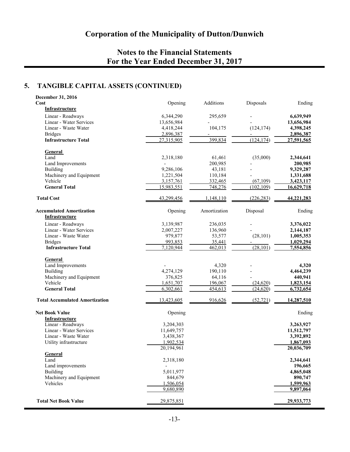### **5. TANGIBLE CAPITAL ASSETS (CONTINUED)**

| December 31, 2016<br>Cost                         |                        | Additions          |                        | Ending                 |
|---------------------------------------------------|------------------------|--------------------|------------------------|------------------------|
| Infrastructure                                    | Opening                |                    | Disposals              |                        |
| Linear - Roadways                                 | 6,344,290              | 295,659            |                        | 6,639,949              |
| Linear - Water Services                           | 13,656,984             |                    |                        | 13,656,984             |
| Linear - Waste Water                              | 4,418,244              | 104,175            | (124, 174)             | 4,398,245              |
| <b>Bridges</b>                                    | 2,896,387              |                    |                        | 2,896,387              |
| <b>Infrastructure Total</b>                       | 27,315,905             | 399,834            | (124, 174)             | 27,591,565             |
| General                                           |                        |                    |                        |                        |
| Land                                              | 2,318,180              | 61,461             | (35,000)               | 2,344,641              |
| Land Improvements                                 |                        | 200,985            |                        | 200,985                |
| Building                                          | 9,286,106              | 43,181             |                        | 9,329,287              |
| Machinery and Equipment                           | 1,221,504              | 110,184            |                        | 1,331,688              |
| Vehicle                                           | 3,157,761              | 332,465            | (67, 109)              | 3,423,117              |
| <b>General Total</b>                              | 15,983,551             | 748,276            | (102, 109)             | 16,629,718             |
| <b>Total Cost</b>                                 | 43,299,456             | 1,148,110          | (226, 283)             | 44,221,283             |
| <b>Accumulated Amortization</b><br>Infrastructure | Opening                | Amortization       | Disposal               | Ending                 |
| Linear - Roadways                                 | 3,139,987              | 236,035            |                        | 3,376,022              |
| Linear - Water Services                           | 2,007,227              | 136,960            |                        | 2,144,187              |
| Linear - Waste Water                              | 979,877                | 53,577             | (28, 101)              | 1,005,353              |
| <b>Bridges</b>                                    | 993,853                | 35,441             |                        | 1,029,294              |
| <b>Infrastructure Total</b>                       | 7,120,944              | 462,013            | (28, 101)              | 7,554,856              |
| General                                           |                        |                    |                        |                        |
| Land Improvements                                 |                        | 4,320              |                        | 4,320                  |
| <b>Building</b>                                   | 4,274,129              | 190,110            |                        | 4,464,239              |
| Machinery and Equipment                           | 376,825                | 64,116             |                        | 440,941                |
| Vehicle<br><b>General Total</b>                   | 1,651,707<br>6,302,661 | 196,067<br>454,613 | (24, 620)<br>(24, 620) | 1,823,154<br>6,732,654 |
|                                                   |                        |                    |                        |                        |
| <b>Total Accumulated Amortization</b>             | 13,423,605             | 916,626            | (52, 721)              | 14,287,510             |
| <b>Net Book Value</b>                             | Opening                |                    |                        | Ending                 |
| Infrastructure                                    |                        |                    |                        |                        |
| Linear - Roadways                                 | 3,204,303              |                    |                        | 3,263,927              |
| Linear - Water Services                           | 11,649,757             |                    |                        | 11,512,797             |
| Linear - Waste Water<br>Utility infrastructure    | 3,438,367<br>1,902,534 |                    |                        | 3,392,892<br>1,867,093 |
|                                                   | 20,194,961             |                    |                        | 20,036,709             |
| <b>General</b>                                    |                        |                    |                        |                        |
| Land                                              | 2,318,180              |                    |                        | 2,344,641              |
| Land improvements                                 |                        |                    |                        | 196,665                |
| Building                                          | 5,011,977              |                    |                        | 4,865,048              |
| Machinery and Equipment                           | 844,679                |                    |                        | 890,747                |
| Vehicles                                          | 1,506,054              |                    |                        | 1,599,963              |
|                                                   | 9,680,890              |                    |                        | 9,897,064              |
| <b>Total Net Book Value</b>                       | 29,875,851             |                    |                        | 29,933,773             |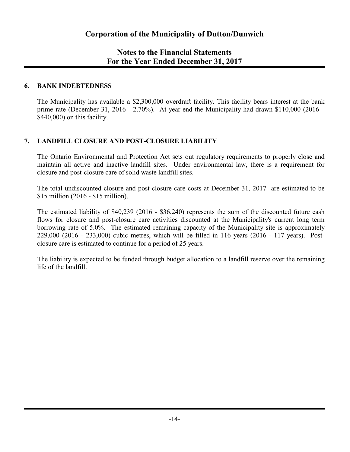### **6. BANK INDEBTEDNESS**

The Municipality has available a \$2,300,000 overdraft facility. This facility bears interest at the bank prime rate (December 31, 2016 - 2.70%). At year-end the Municipality had drawn \$110,000 (2016 - \$440,000) on this facility.

### **7. LANDFILL CLOSURE AND POST-CLOSURE LIABILITY**

The Ontario Environmental and Protection Act sets out regulatory requirements to properly close and maintain all active and inactive landfill sites. Under environmental law, there is a requirement for closure and post-closure care of solid waste landfill sites.

The total undiscounted closure and post-closure care costs at December 31, 2017 are estimated to be \$15 million (2016 - \$15 million).

The estimated liability of \$40,239 (2016 - \$36,240) represents the sum of the discounted future cash flows for closure and post-closure care activities discounted at the Municipality's current long term borrowing rate of 5.0%. The estimated remaining capacity of the Municipality site is approximately 229,000 (2016 - 233,000) cubic metres, which will be filled in 116 years (2016 - 117 years). Postclosure care is estimated to continue for a period of 25 years.

The liability is expected to be funded through budget allocation to a landfill reserve over the remaining life of the landfill.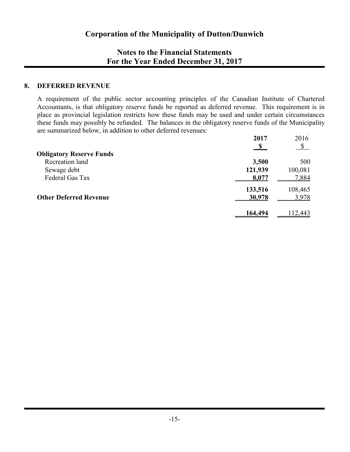#### **8. DEFERRED REVENUE**

A requirement of the public sector accounting principles of the Canadian Institute of Chartered Accountants, is that obligatory reserve funds be reported as deferred revenue. This requirement is in place as provincial legislation restricts how these funds may be used and under certain circumstances these funds may possibly be refunded. The balances in the obligatory reserve funds of the Municipality are summarized below, in addition to other deferred revenues:

|                                 | 2017    | 2016          |
|---------------------------------|---------|---------------|
|                                 |         | $\mathcal{S}$ |
| <b>Obligatory Reserve Funds</b> |         |               |
| Recreation land                 | 3,500   | 500           |
| Sewage debt                     | 121,939 | 100,081       |
| Federal Gas Tax                 | 8,077   | 7,884         |
|                                 | 133,516 | 108,465       |
| <b>Other Deferred Revenue</b>   | 30,978  | 3,978         |
|                                 |         |               |
|                                 | 164,494 | 112,443       |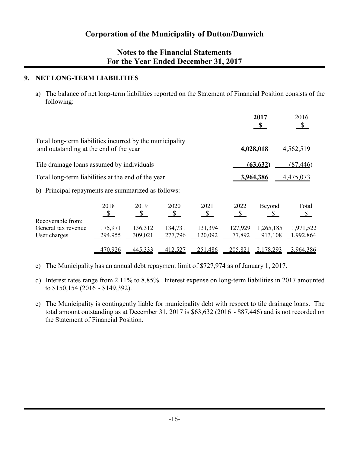### **9. NET LONG-TERM LIABILITIES**

a) The balance of net long-term liabilities reported on the Statement of Financial Position consists of the following:

|                                                                                                    |                       |                       |                       |                       |                       | 2017<br>$\mathbf{s}$   | 2016<br>$\mathbb{S}$   |
|----------------------------------------------------------------------------------------------------|-----------------------|-----------------------|-----------------------|-----------------------|-----------------------|------------------------|------------------------|
| Total long-term liabilities incurred by the municipality<br>and outstanding at the end of the year |                       |                       |                       |                       |                       | 4,028,018              | 4,562,519              |
| Tile drainage loans assumed by individuals                                                         |                       |                       |                       |                       |                       | (63, 632)              | (87, 446)              |
| Total long-term liabilities at the end of the year                                                 |                       |                       |                       |                       |                       | 3,964,386              | 4,475,073              |
| b) Principal repayments are summarized as follows:                                                 |                       |                       |                       |                       |                       |                        |                        |
|                                                                                                    | 2018<br>$\mathcal{S}$ | 2019<br>$\mathcal{S}$ | 2020<br>$\mathcal{S}$ | 2021<br>$\mathcal{S}$ | 2022<br>$\mathcal{S}$ | Beyond<br><sup>S</sup> | Total<br>$\mathcal{S}$ |
| Recoverable from:<br>General tax revenue<br>User charges                                           | 175,971<br>294,955    | 136,312<br>309,021    | 134,731<br>277,796    | 131,394<br>120,092    | 127,929<br>77,892     | 1,265,185<br>913,108   | 1,971,522<br>1,992,864 |
|                                                                                                    | 470,926               | 445,333               | 412,527               | 251,486               | 205,821               | 2,178,293              | 3,964,386              |

c) The Municipality has an annual debt repayment limit of \$727,974 as of January 1, 2017.

- d) Interest rates range from 2.11% to 8.85%. Interest expense on long-term liabilities in 2017 amounted to \$150,154 (2016 - \$149,392).
- e) The Municipality is contingently liable for municipality debt with respect to tile drainage loans. The total amount outstanding as at December 31, 2017 is \$63,632 (2016 - \$87,446) and is not recorded on the Statement of Financial Position.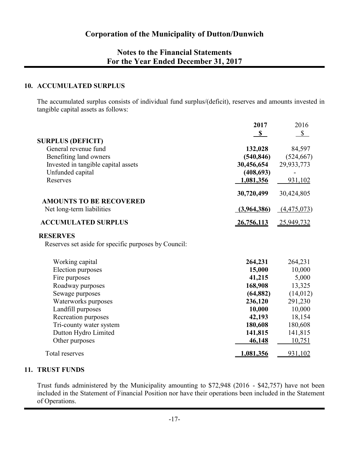### **10. ACCUMULATED SURPLUS**

The accumulated surplus consists of individual fund surplus/(deficit), reserves and amounts invested in tangible capital assets as follows:

|                                                      | 2017        | 2016         |
|------------------------------------------------------|-------------|--------------|
|                                                      | $\mathbf S$ | $\mathbb{S}$ |
| <b>SURPLUS (DEFICIT)</b><br>General revenue fund     | 132,028     | 84,597       |
| Benefiting land owners                               | (540, 846)  | (524, 667)   |
| Invested in tangible capital assets                  | 30,456,654  | 29,933,773   |
| Unfunded capital                                     | (408, 693)  |              |
| Reserves                                             | 1,081,356   | 931,102      |
|                                                      | 30,720,499  | 30,424,805   |
| <b>AMOUNTS TO BE RECOVERED</b>                       |             |              |
| Net long-term liabilities                            | (3,964,386) | (4,475,073)  |
| <b>ACCUMULATED SURPLUS</b>                           | 26,756,113  | 25,949,732   |
| <b>RESERVES</b>                                      |             |              |
| Reserves set aside for specific purposes by Council: |             |              |
| Working capital                                      | 264,231     | 264,231      |
| Election purposes                                    | 15,000      | 10,000       |
| Fire purposes                                        | 41,215      | 5,000        |
| Roadway purposes                                     | 168,908     | 13,325       |
| Sewage purposes                                      | (64, 882)   | (14, 012)    |
| Waterworks purposes                                  | 236,120     | 291,230      |
| Landfill purposes                                    | 10,000      | 10,000       |
| Recreation purposes                                  | 42,193      | 18,154       |
| Tri-county water system                              | 180,608     | 180,608      |
| Dutton Hydro Limited                                 | 141,815     | 141,815      |
| Other purposes                                       | 46,148      | 10,751       |
| Total reserves                                       | 1,081,356   | 931,102      |

#### **11. TRUST FUNDS**

Trust funds administered by the Municipality amounting to \$72,948 (2016 - \$42,757) have not been included in the Statement of Financial Position nor have their operations been included in the Statement of Operations.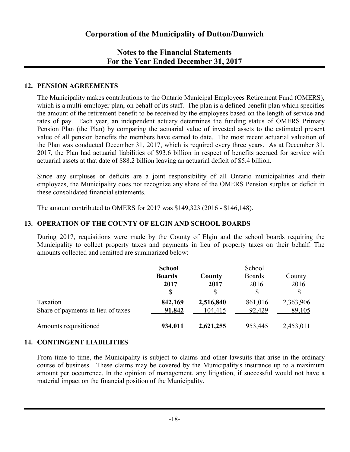### **12. PENSION AGREEMENTS**

The Municipality makes contributions to the Ontario Municipal Employees Retirement Fund (OMERS), which is a multi-employer plan, on behalf of its staff. The plan is a defined benefit plan which specifies the amount of the retirement benefit to be received by the employees based on the length of service and rates of pay. Each year, an independent actuary determines the funding status of OMERS Primary Pension Plan (the Plan) by comparing the actuarial value of invested assets to the estimated present value of all pension benefits the members have earned to date. The most recent actuarial valuation of the Plan was conducted December 31, 2017, which is required every three years. As at December 31, 2017, the Plan had actuarial liabilities of \$93.6 billion in respect of benefits accrued for service with actuarial assets at that date of \$88.2 billion leaving an actuarial deficit of \$5.4 billion.

Since any surpluses or deficits are a joint responsibility of all Ontario municipalities and their employees, the Municipality does not recognize any share of the OMERS Pension surplus or deficit in these consolidated financial statements.

The amount contributed to OMERS for 2017 was \$149,323 (2016 - \$146,148).

### **13. OPERATION OF THE COUNTY OF ELGIN AND SCHOOL BOARDS**

During 2017, requisitions were made by the County of Elgin and the school boards requiring the Municipality to collect property taxes and payments in lieu of property taxes on their behalf. The amounts collected and remitted are summarized below:

|                                    | <b>School</b> | School    |               |           |  |  |  |
|------------------------------------|---------------|-----------|---------------|-----------|--|--|--|
|                                    | <b>Boards</b> | County    | <b>Boards</b> | County    |  |  |  |
|                                    | 2017          | 2017      | 2016          | 2016      |  |  |  |
|                                    |               |           |               |           |  |  |  |
| Taxation                           | 842,169       | 2,516,840 | 861,016       | 2,363,906 |  |  |  |
| Share of payments in lieu of taxes | 91,842        | 104,415   | 92,429        | 89,105    |  |  |  |
| Amounts requisitioned              | 934,011       | 2,621,255 | 953,445       | 2,453,011 |  |  |  |

### **14. CONTINGENT LIABILITIES**

From time to time, the Municipality is subject to claims and other lawsuits that arise in the ordinary course of business. These claims may be covered by the Municipality's insurance up to a maximum amount per occurrence. In the opinion of management, any litigation, if successful would not have a material impact on the financial position of the Municipality.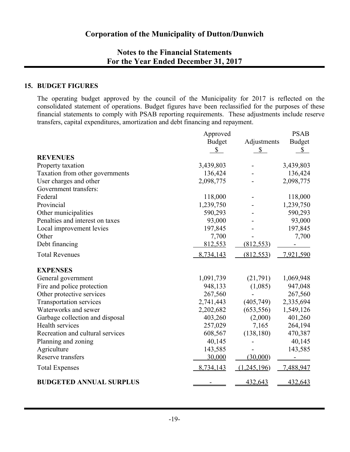#### **15. BUDGET FIGURES**

The operating budget approved by the council of the Municipality for 2017 is reflected on the consolidated statement of operations. Budget figures have been reclassified for the purposes of these financial statements to comply with PSAB reporting requirements. These adjustments include reserve transfers, capital expenditures, amortization and debt financing and repayment.

|                                  | Approved      |              | <b>PSAB</b>                |
|----------------------------------|---------------|--------------|----------------------------|
|                                  | <b>Budget</b> | Adjustments  | <b>Budget</b>              |
|                                  | \$            | $\mathbb{S}$ | $\underline{\mathbb{S}}_-$ |
| <b>REVENUES</b>                  |               |              |                            |
| Property taxation                | 3,439,803     |              | 3,439,803                  |
| Taxation from other governments  | 136,424       |              | 136,424                    |
| User charges and other           | 2,098,775     |              | 2,098,775                  |
| Government transfers:            |               |              |                            |
| Federal                          | 118,000       |              | 118,000                    |
| Provincial                       | 1,239,750     |              | 1,239,750                  |
| Other municipalities             | 590,293       |              | 590,293                    |
| Penalties and interest on taxes  | 93,000        |              | 93,000                     |
| Local improvement levies         | 197,845       |              | 197,845                    |
| Other                            | 7,700         |              | 7,700                      |
| Debt financing                   | 812,553       | (812, 553)   |                            |
| <b>Total Revenues</b>            | 8,734,143     | (812, 553)   | 7,921,590                  |
| <b>EXPENSES</b>                  |               |              |                            |
| General government               | 1,091,739     | (21,791)     | 1,069,948                  |
| Fire and police protection       | 948,133       | (1,085)      | 947,048                    |
| Other protective services        | 267,560       |              | 267,560                    |
| Transportation services          | 2,741,443     | (405, 749)   | 2,335,694                  |
| Waterworks and sewer             | 2,202,682     | (653, 556)   | 1,549,126                  |
| Garbage collection and disposal  | 403,260       | (2,000)      | 401,260                    |
| Health services                  | 257,029       | 7,165        | 264,194                    |
| Recreation and cultural services | 608,567       | (138, 180)   | 470,387                    |
| Planning and zoning              | 40,145        |              | 40,145                     |
| Agriculture                      | 143,585       |              | 143,585                    |
| Reserve transfers                | 30,000        | (30,000)     |                            |
| <b>Total Expenses</b>            | 8,734,143     | (1,245,196)  | 7,488,947                  |
| <b>BUDGETED ANNUAL SURPLUS</b>   |               | 432,643      | 432,643                    |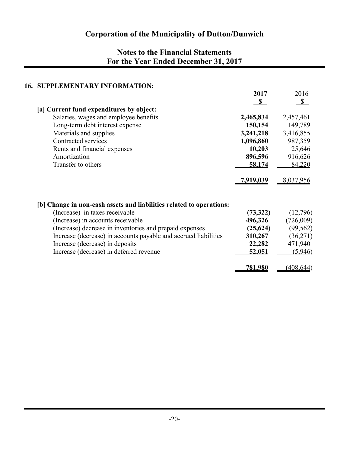### **16. SUPPLEMENTARY INFORMATION:**

|                                                                                              | 2017                 | 2016                   |
|----------------------------------------------------------------------------------------------|----------------------|------------------------|
|                                                                                              | $\mathbf{s}$         | \$                     |
| [a] Current fund expenditures by object:                                                     |                      |                        |
| Salaries, wages and employee benefits                                                        | 2,465,834            | 2,457,461              |
| Long-term debt interest expense                                                              | 150,154              | 149,789                |
| Materials and supplies                                                                       | 3,241,218            | 3,416,855              |
| Contracted services                                                                          | 1,096,860            | 987,359                |
| Rents and financial expenses                                                                 | 10,203               | 25,646                 |
| Amortization                                                                                 | 896,596              | 916,626                |
| Transfer to others                                                                           | 58,174               | 84,220                 |
|                                                                                              | <u>7,919,039</u>     | 8,037,956              |
|                                                                                              |                      |                        |
| [b] Change in non-cash assets and liabilities related to operations:                         |                      |                        |
| (Increase) in taxes receivable                                                               | (73,322)             | (12,796)               |
| (Increase) in accounts receivable<br>(Increase) decrease in inventories and prepaid expenses | 496,326<br>(25, 624) | (726,009)<br>(99, 562) |
| Increase (decrease) in accounts payable and accrued liabilities                              | 310,267              | (36,271)               |
| Increase (decrease) in deposits                                                              | 22,282               | 471,940                |
|                                                                                              |                      |                        |
| Increase (decrease) in deferred revenue                                                      | 52,051               | (5,946)                |
|                                                                                              | 781,980              | (408, 644)             |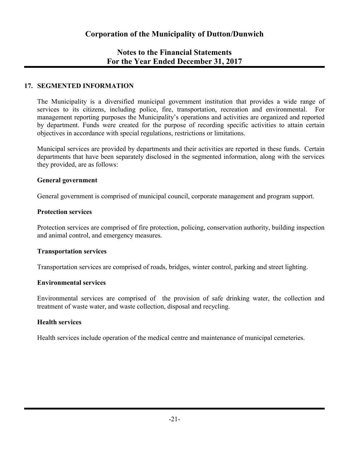### **17. SEGMENTED INFORMATION**

The Municipality is a diversified municipal government institution that provides a wide range of services to its citizens, including police, fire, transportation, recreation and environmental. For management reporting purposes the Municipality's operations and activities are organized and reported by department. Funds were created for the purpose of recording specific activities to attain certain objectives in accordance with special regulations, restrictions or limitations.

Municipal services are provided by departments and their activities are reported in these funds. Certain departments that have been separately disclosed in the segmented information, along with the services they provided, are as follows:

#### **General government**

General government is comprised of municipal council, corporate management and program support.

#### **Protection services**

Protection services are comprised of fire protection, policing, conservation authority, building inspection and animal control, and emergency measures.

#### **Transportation services**

Transportation services are comprised of roads, bridges, winter control, parking and street lighting.

#### **Environmental services**

Environmental services are comprised of the provision of safe drinking water, the collection and treatment of waste water, and waste collection, disposal and recycling.

#### **Health services**

Health services include operation of the medical centre and maintenance of municipal cemeteries.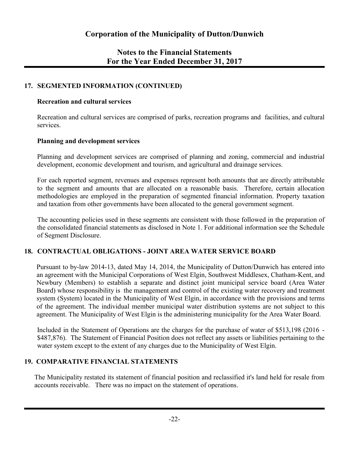### **17. SEGMENTED INFORMATION (CONTINUED)**

#### **Recreation and cultural services**

Recreation and cultural services are comprised of parks, recreation programs and facilities, and cultural services.

### **Planning and development services**

Planning and development services are comprised of planning and zoning, commercial and industrial development, economic development and tourism, and agricultural and drainage services.

For each reported segment, revenues and expenses represent both amounts that are directly attributable to the segment and amounts that are allocated on a reasonable basis. Therefore, certain allocation methodologies are employed in the preparation of segmented financial information. Property taxation and taxation from other governments have been allocated to the general government segment.

The accounting policies used in these segments are consistent with those followed in the preparation of the consolidated financial statements as disclosed in Note 1. For additional information see the Schedule of Segment Disclosure.

### **18. CONTRACTUAL OBLIGATIONS - JOINT AREA WATER SERVICE BOARD**

Pursuant to by-law 2014-13, dated May 14, 2014, the Municipality of Dutton/Dunwich has entered into an agreement with the Municipal Corporations of West Elgin, Southwest Middlesex, Chatham-Kent, and Newbury (Members) to establish a separate and distinct joint municipal service board (Area Water Board) whose responsibility is the management and control of the existing water recovery and treatment system (System) located in the Municipality of West Elgin, in accordance with the provisions and terms of the agreement. The individual member municipal water distribution systems are not subject to this agreement. The Municipality of West Elgin is the administering municipality for the Area Water Board.

Included in the Statement of Operations are the charges for the purchase of water of \$513,198 (2016 - \$487,876). The Statement of Financial Position does not reflect any assets or liabilities pertaining to the water system except to the extent of any charges due to the Municipality of West Elgin.

### **19. COMPARATIVE FINANCIAL STATEMENTS**

The Municipality restated its statement of financial position and reclassified it's land held for resale from accounts receivable. There was no impact on the statement of operations.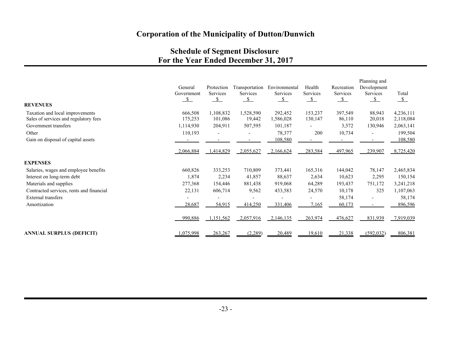### **Schedule of Segment Disclosure For the Year Ended December 31, 2017**

| <b>REVENUES</b>                          | General<br>Government<br>$\_$ | Protection<br>Services<br>$\mathbf{s}$ | Transportation<br><b>Services</b><br>$\mathcal{S}$ | Environmental<br>Services<br>$\overline{\mathcal{S}}$ | Health<br>Services<br>$\mathcal{S}$ | Recreation<br>Services<br>$\mathcal{S}$ | Planning and<br>Development<br>Services<br>$\mathbf{s}$ | Total<br>$\mathcal{S}$ |
|------------------------------------------|-------------------------------|----------------------------------------|----------------------------------------------------|-------------------------------------------------------|-------------------------------------|-----------------------------------------|---------------------------------------------------------|------------------------|
| Taxation and local improvements          | 666,508                       | 1,108,832                              | 1,528,590                                          | 292,452                                               | 153,237                             | 397,549                                 | 88,943                                                  | 4,236,111              |
| Sales of services and regulatory fees    | 175,253                       | 101,086                                | 19,442                                             | 1,586,028                                             | 130,147                             | 86,110                                  | 20,018                                                  | 2,118,084              |
| Government transfers                     | 1,114,930                     | 204,911                                | 507,595                                            | 101,187                                               |                                     | 3,572                                   | 130,946                                                 | 2,063,141              |
| Other                                    | 110,193                       |                                        |                                                    | 78,377                                                | 200                                 | 10,734                                  | $\blacksquare$                                          | 199,504                |
| Gain on disposal of capital assets       |                               |                                        |                                                    | 108,580                                               |                                     |                                         |                                                         | 108,580                |
|                                          | 2,066,884                     | 1,414,829                              | 2,055,627                                          | 2,166,624                                             | 283,584                             | 497,965                                 | 239,907                                                 | 8,725,420              |
| <b>EXPENSES</b>                          |                               |                                        |                                                    |                                                       |                                     |                                         |                                                         |                        |
| Salaries, wages and employee benefits    | 660,826                       | 333,253                                | 710,809                                            | 373,441                                               | 165,316                             | 144,042                                 | 78,147                                                  | 2,465,834              |
| Interest on long-term debt               | 1,874                         | 2,234                                  | 41,857                                             | 88,637                                                | 2,634                               | 10,623                                  | 2,295                                                   | 150,154                |
| Materials and supplies                   | 277,368                       | 154,446                                | 881,438                                            | 919,068                                               | 64,289                              | 193,437                                 | 751,172                                                 | 3,241,218              |
| Contracted services, rents and financial | 22,131                        | 606,714                                | 9,562                                              | 433,583                                               | 24,570                              | 10,178                                  | 325                                                     | 1,107,063              |
| <b>External transfers</b>                |                               |                                        |                                                    |                                                       |                                     | 58,174                                  | $\overline{\phantom{a}}$                                | 58,174                 |
| Amortization                             | 28,687                        | 54,915                                 | 414,250                                            | 331,406                                               | 7,165                               | 60,173                                  |                                                         | 896,596                |
|                                          | 990,886                       | 1,151,562                              | 2,057,916                                          | 2,146,135                                             | 263,974                             | 476,627                                 | 831,939                                                 | 7,919,039              |
| ANNUAL SURPLUS (DEFICIT)                 | ,075,998                      | 263,267                                | (2,289)                                            | 20,489                                                | 19,610                              | 21,338                                  | (592, 032)                                              | 806,381                |